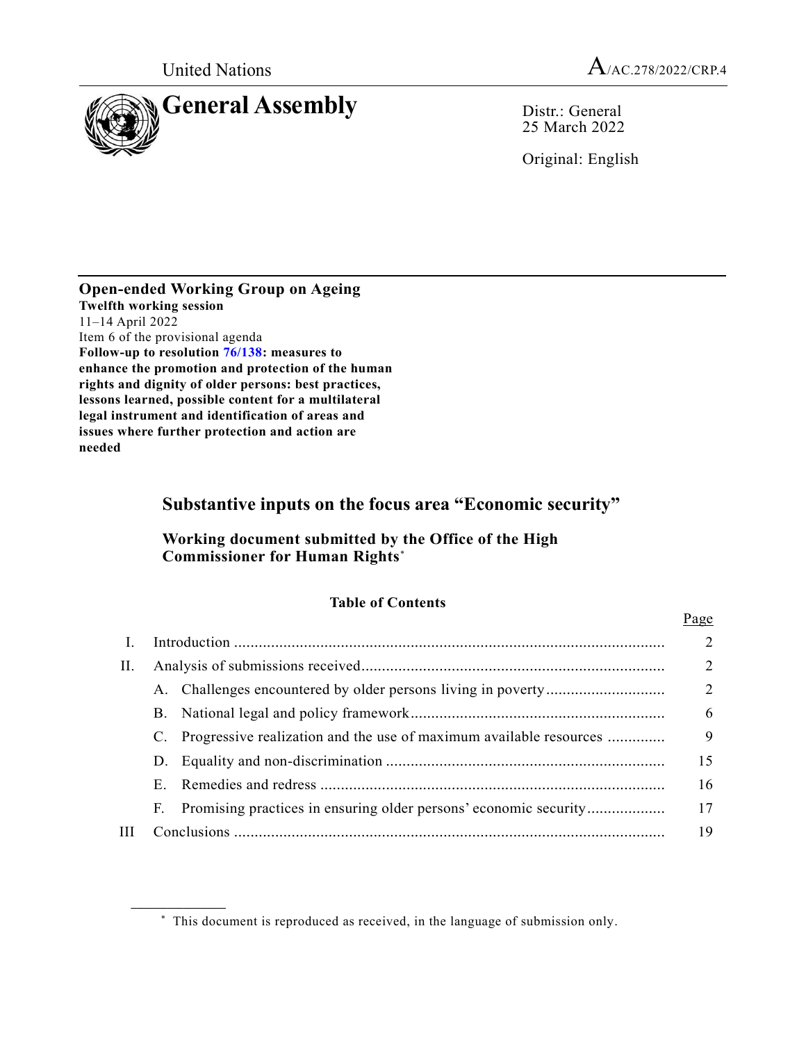Page



25 March 2022

Original: English

**Open-ended Working Group on Ageing Twelfth working session** 11–14 April 2022 Item 6 of the provisional agenda **Follow-up to resolution [76/138:](https://undocs.org/en/A/RES/76/138) measures to enhance the promotion and protection of the human rights and dignity of older persons: best practices, lessons learned, possible content for a multilateral legal instrument and identification of areas and issues where further protection and action are needed**

**\_\_\_\_\_\_\_\_\_\_\_\_\_\_\_\_\_\_**

# **Substantive inputs on the focus area "Economic security"**

## **Working document submitted by the Office of the High Commissioner for Human Rights**\*

## **Table of Contents**

# I. Introduction ......................................................................................................... 2 II. Analysis of submissions received.......................................................................... 2 A. Challenges encountered by older persons living in poverty............................. 2 B. National legal and policy framework.............................................................. 6 C. Progressive realization and the use of maximum available resources .............. 9 D. Equality and non-discrimination .................................................................... 15 E. Remedies and redress .................................................................................... 16 F. Promising practices in ensuring older persons' economic security................... 17 III Conclusions ......................................................................................................... 19

<sup>\*</sup> This document is reproduced as received, in the language of submission only.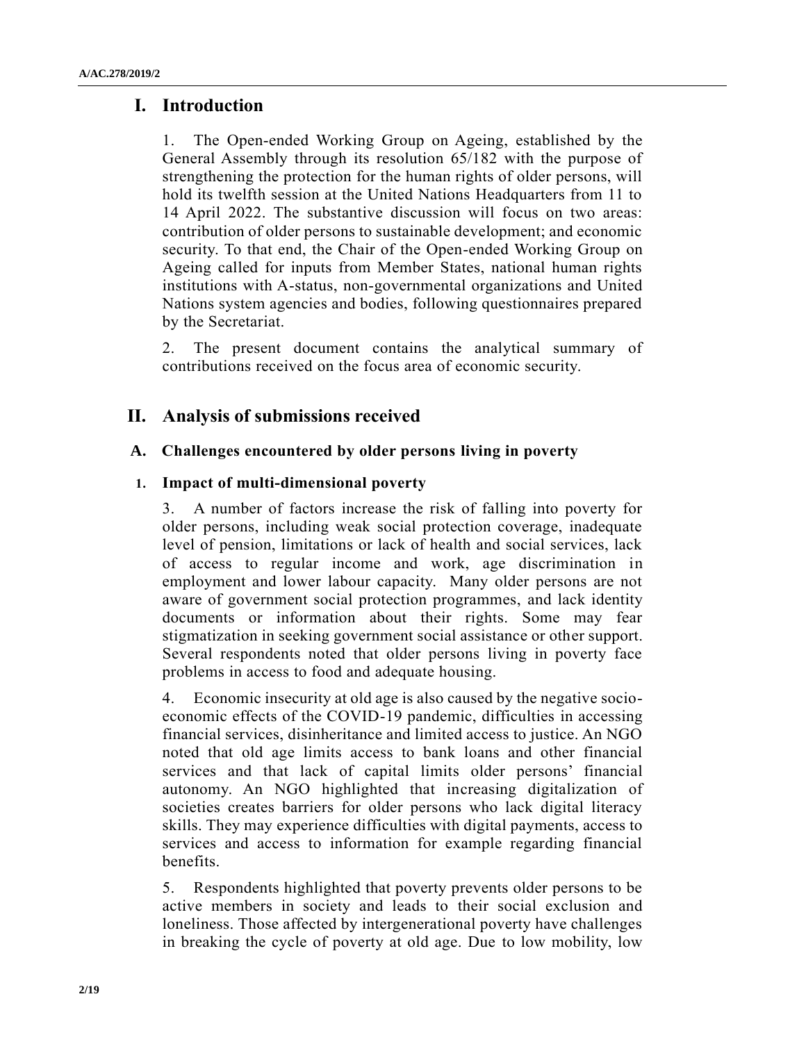# **I. Introduction**

1. The Open-ended Working Group on Ageing, established by the General Assembly through its resolution 65/182 with the purpose of strengthening the protection for the human rights of older persons, will hold its twelfth session at the United Nations Headquarters from 11 to 14 April 2022. The substantive discussion will focus on two areas: contribution of older persons to sustainable development; and economic security. To that end, the Chair of the Open-ended Working Group on Ageing called for inputs from Member States, national human rights institutions with A-status, non-governmental organizations and United Nations system agencies and bodies, following questionnaires prepared by the Secretariat.

2. The present document contains the analytical summary of contributions received on the focus area of economic security.

# **II. Analysis of submissions received**

## **A. Challenges encountered by older persons living in poverty**

## **1. Impact of multi-dimensional poverty**

3. A number of factors increase the risk of falling into poverty for older persons, including weak social protection coverage, inadequate level of pension, limitations or lack of health and social services, lack of access to regular income and work, age discrimination in employment and lower labour capacity. Many older persons are not aware of government social protection programmes, and lack identity documents or information about their rights. Some may fear stigmatization in seeking government social assistance or other support. Several respondents noted that older persons living in poverty face problems in access to food and adequate housing.

4. Economic insecurity at old age is also caused by the negative socioeconomic effects of the COVID-19 pandemic, difficulties in accessing financial services, disinheritance and limited access to justice. An NGO noted that old age limits access to bank loans and other financial services and that lack of capital limits older persons' financial autonomy. An NGO highlighted that increasing digitalization of societies creates barriers for older persons who lack digital literacy skills. They may experience difficulties with digital payments, access to services and access to information for example regarding financial benefits.

5. Respondents highlighted that poverty prevents older persons to be active members in society and leads to their social exclusion and loneliness. Those affected by intergenerational poverty have challenges in breaking the cycle of poverty at old age. Due to low mobility, low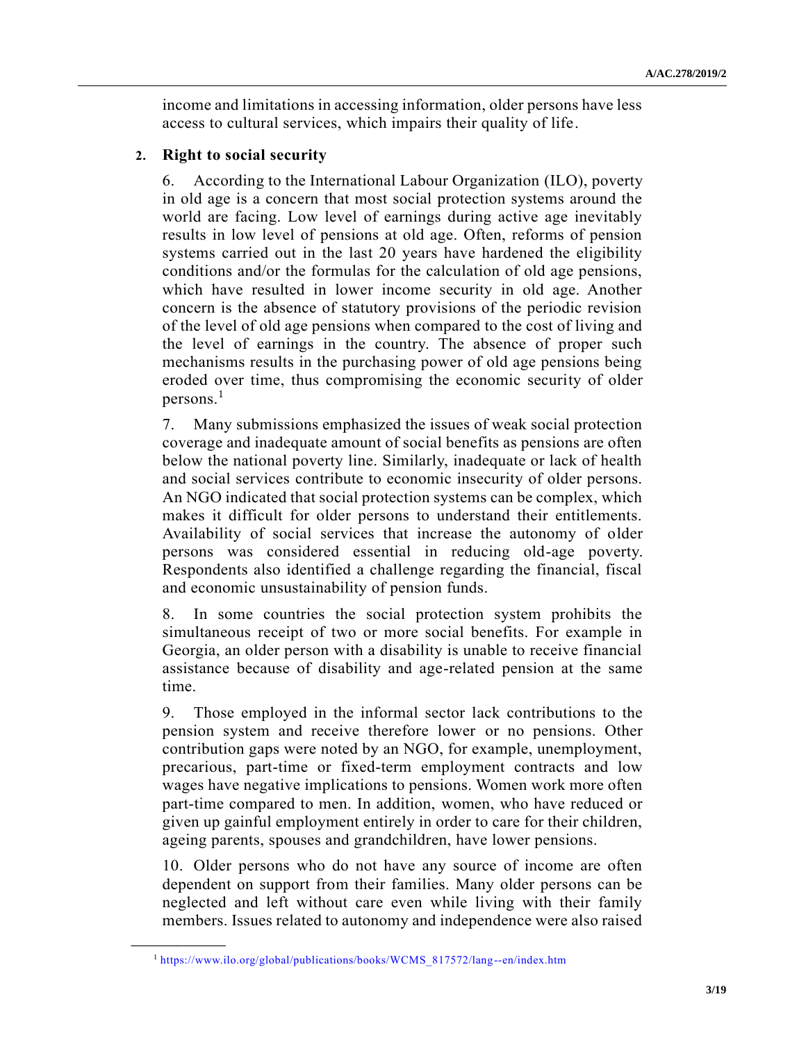income and limitations in accessing information, older persons have less access to cultural services, which impairs their quality of life.

#### **2. Right to social security**

6. According to the International Labour Organization (ILO), poverty in old age is a concern that most social protection systems around the world are facing. Low level of earnings during active age inevitably results in low level of pensions at old age. Often, reforms of pension systems carried out in the last 20 years have hardened the eligibility conditions and/or the formulas for the calculation of old age pensions, which have resulted in lower income security in old age. Another concern is the absence of statutory provisions of the periodic revision of the level of old age pensions when compared to the cost of living and the level of earnings in the country. The absence of proper such mechanisms results in the purchasing power of old age pensions being eroded over time, thus compromising the economic security of older persons.<sup>1</sup>

7. Many submissions emphasized the issues of weak social protection coverage and inadequate amount of social benefits as pensions are often below the national poverty line. Similarly, inadequate or lack of health and social services contribute to economic insecurity of older persons. An NGO indicated that social protection systems can be complex, which makes it difficult for older persons to understand their entitlements. Availability of social services that increase the autonomy of older persons was considered essential in reducing old-age poverty. Respondents also identified a challenge regarding the financial, fiscal and economic unsustainability of pension funds.

8. In some countries the social protection system prohibits the simultaneous receipt of two or more social benefits. For example in Georgia, an older person with a disability is unable to receive financial assistance because of disability and age-related pension at the same time.

9. Those employed in the informal sector lack contributions to the pension system and receive therefore lower or no pensions. Other contribution gaps were noted by an NGO, for example, unemployment, precarious, part-time or fixed-term employment contracts and low wages have negative implications to pensions. Women work more often part-time compared to men. In addition, women, who have reduced or given up gainful employment entirely in order to care for their children, ageing parents, spouses and grandchildren, have lower pensions.

10. Older persons who do not have any source of income are often dependent on support from their families. Many older persons can be neglected and left without care even while living with their family members. Issues related to autonomy and independence were also raised

<sup>1</sup> [https://www.ilo.org/global/publications/books/WCMS\\_817572/lang--en/index.htm](https://www.ilo.org/global/publications/books/WCMS_817572/lang--en/index.htm)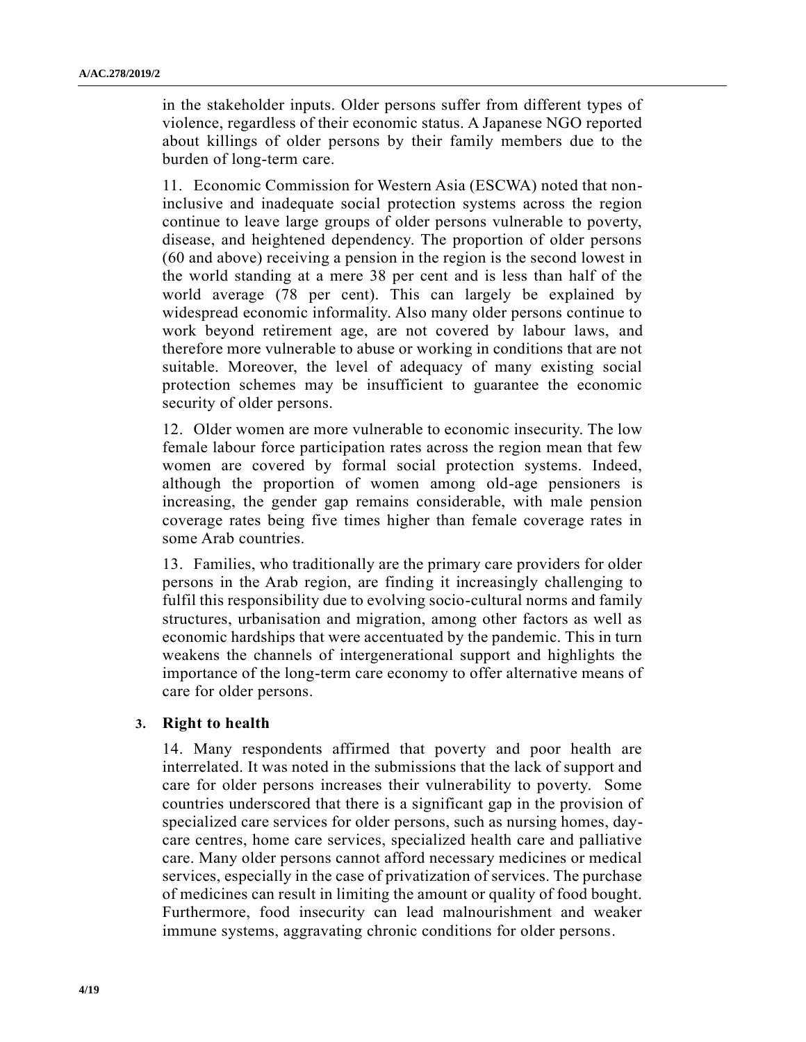in the stakeholder inputs. Older persons suffer from different types of violence, regardless of their economic status. A Japanese NGO reported about killings of older persons by their family members due to the burden of long-term care.

11. Economic Commission for Western Asia (ESCWA) noted that noninclusive and inadequate social protection systems across the region continue to leave large groups of older persons vulnerable to poverty, disease, and heightened dependency. The proportion of older persons (60 and above) receiving a pension in the region is the second lowest in the world standing at a mere 38 per cent and is less than half of the world average (78 per cent). This can largely be explained by widespread economic informality. Also many older persons continue to work beyond retirement age, are not covered by labour laws, and therefore more vulnerable to abuse or working in conditions that are not suitable. Moreover, the level of adequacy of many existing social protection schemes may be insufficient to guarantee the economic security of older persons.

12. Older women are more vulnerable to economic insecurity. The low female labour force participation rates across the region mean that few women are covered by formal social protection systems. Indeed, although the proportion of women among old-age pensioners is increasing, the gender gap remains considerable, with male pension coverage rates being five times higher than female coverage rates in some Arab countries.

13. Families, who traditionally are the primary care providers for older persons in the Arab region, are finding it increasingly challenging to fulfil this responsibility due to evolving socio-cultural norms and family structures, urbanisation and migration, among other factors as well as economic hardships that were accentuated by the pandemic. This in turn weakens the channels of intergenerational support and highlights the importance of the long-term care economy to offer alternative means of care for older persons.

## **3. Right to health**

14. Many respondents affirmed that poverty and poor health are interrelated. It was noted in the submissions that the lack of support and care for older persons increases their vulnerability to poverty. Some countries underscored that there is a significant gap in the provision of specialized care services for older persons, such as nursing homes, daycare centres, home care services, specialized health care and palliative care. Many older persons cannot afford necessary medicines or medical services, especially in the case of privatization of services. The purchase of medicines can result in limiting the amount or quality of food bought. Furthermore, food insecurity can lead malnourishment and weaker immune systems, aggravating chronic conditions for older persons.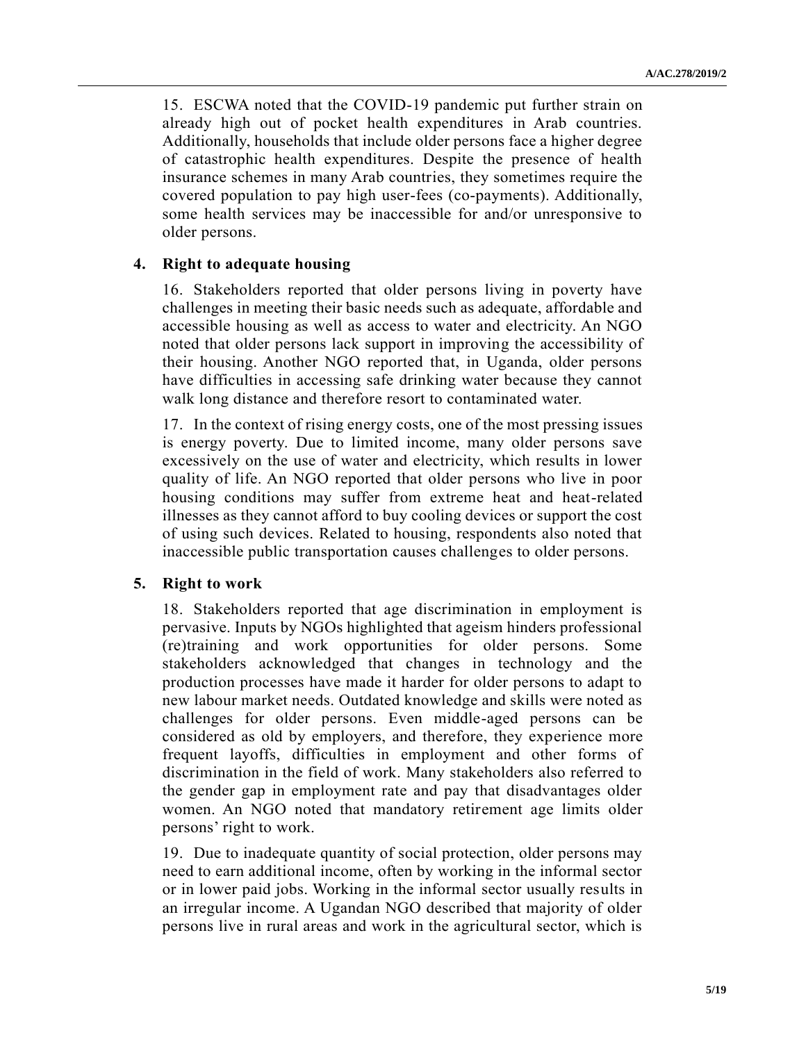15. ESCWA noted that the COVID-19 pandemic put further strain on already high out of pocket health expenditures in Arab countries. Additionally, households that include older persons face a higher degree of catastrophic health expenditures. Despite the presence of health insurance schemes in many Arab countries, they sometimes require the covered population to pay high user-fees (co-payments). Additionally, some health services may be inaccessible for and/or unresponsive to older persons.

#### **4. Right to adequate housing**

16. Stakeholders reported that older persons living in poverty have challenges in meeting their basic needs such as adequate, affordable and accessible housing as well as access to water and electricity. An NGO noted that older persons lack support in improving the accessibility of their housing. Another NGO reported that, in Uganda, older persons have difficulties in accessing safe drinking water because they cannot walk long distance and therefore resort to contaminated water.

17. In the context of rising energy costs, one of the most pressing issues is energy poverty. Due to limited income, many older persons save excessively on the use of water and electricity, which results in lower quality of life. An NGO reported that older persons who live in poor housing conditions may suffer from extreme heat and heat-related illnesses as they cannot afford to buy cooling devices or support the cost of using such devices. Related to housing, respondents also noted that inaccessible public transportation causes challenges to older persons.

#### **5. Right to work**

18. Stakeholders reported that age discrimination in employment is pervasive. Inputs by NGOs highlighted that ageism hinders professional (re)training and work opportunities for older persons. Some stakeholders acknowledged that changes in technology and the production processes have made it harder for older persons to adapt to new labour market needs. Outdated knowledge and skills were noted as challenges for older persons. Even middle-aged persons can be considered as old by employers, and therefore, they experience more frequent layoffs, difficulties in employment and other forms of discrimination in the field of work. Many stakeholders also referred to the gender gap in employment rate and pay that disadvantages older women. An NGO noted that mandatory retirement age limits older persons' right to work.

19. Due to inadequate quantity of social protection, older persons may need to earn additional income, often by working in the informal sector or in lower paid jobs. Working in the informal sector usually results in an irregular income. A Ugandan NGO described that majority of older persons live in rural areas and work in the agricultural sector, which is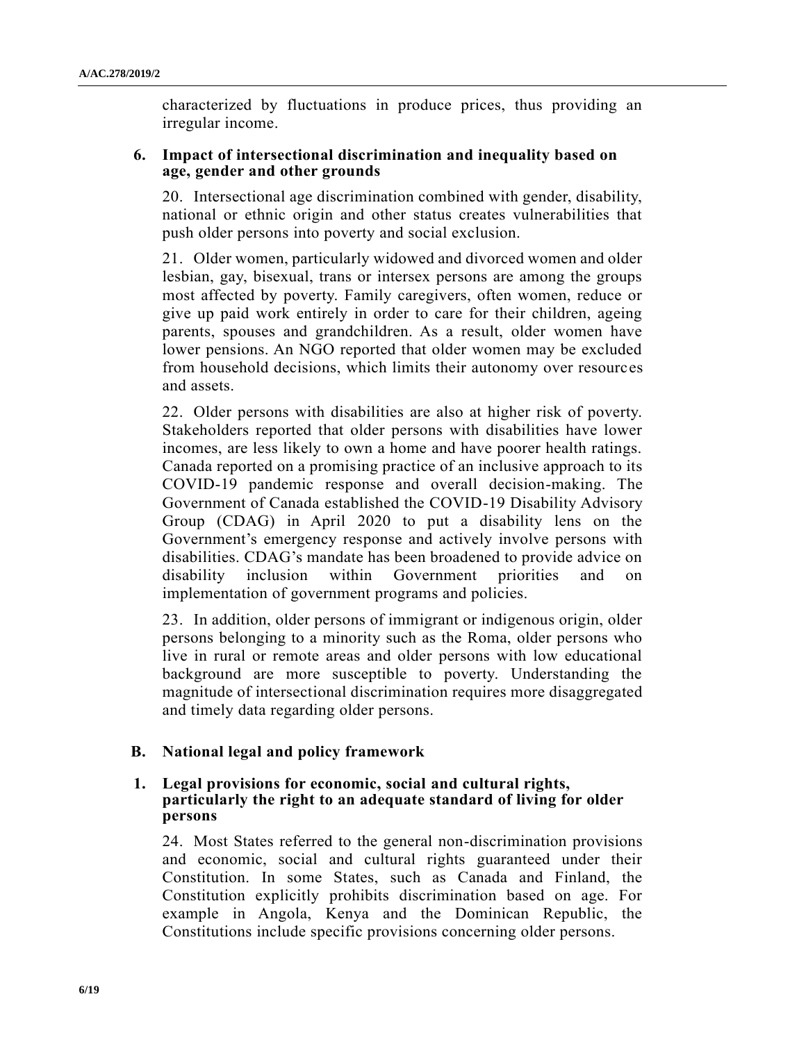characterized by fluctuations in produce prices, thus providing an irregular income.

## **6. Impact of intersectional discrimination and inequality based on age, gender and other grounds**

20. Intersectional age discrimination combined with gender, disability, national or ethnic origin and other status creates vulnerabilities that push older persons into poverty and social exclusion.

21. Older women, particularly widowed and divorced women and older lesbian, gay, bisexual, trans or intersex persons are among the groups most affected by poverty. Family caregivers, often women, reduce or give up paid work entirely in order to care for their children, ageing parents, spouses and grandchildren. As a result, older women have lower pensions. An NGO reported that older women may be excluded from household decisions, which limits their autonomy over resources and assets.

22. Older persons with disabilities are also at higher risk of poverty. Stakeholders reported that older persons with disabilities have lower incomes, are less likely to own a home and have poorer health ratings. Canada reported on a promising practice of an inclusive approach to its COVID-19 pandemic response and overall decision-making. The Government of Canada established the COVID-19 Disability Advisory Group (CDAG) in April 2020 to put a disability lens on the Government's emergency response and actively involve persons with disabilities. CDAG's mandate has been broadened to provide advice on disability inclusion within Government priorities and on implementation of government programs and policies.

23. In addition, older persons of immigrant or indigenous origin, older persons belonging to a minority such as the Roma, older persons who live in rural or remote areas and older persons with low educational background are more susceptible to poverty. Understanding the magnitude of intersectional discrimination requires more disaggregated and timely data regarding older persons.

## **B. National legal and policy framework**

## **1. Legal provisions for economic, social and cultural rights, particularly the right to an adequate standard of living for older persons**

24. Most States referred to the general non-discrimination provisions and economic, social and cultural rights guaranteed under their Constitution. In some States, such as Canada and Finland, the Constitution explicitly prohibits discrimination based on age. For example in Angola, Kenya and the Dominican Republic, the Constitutions include specific provisions concerning older persons.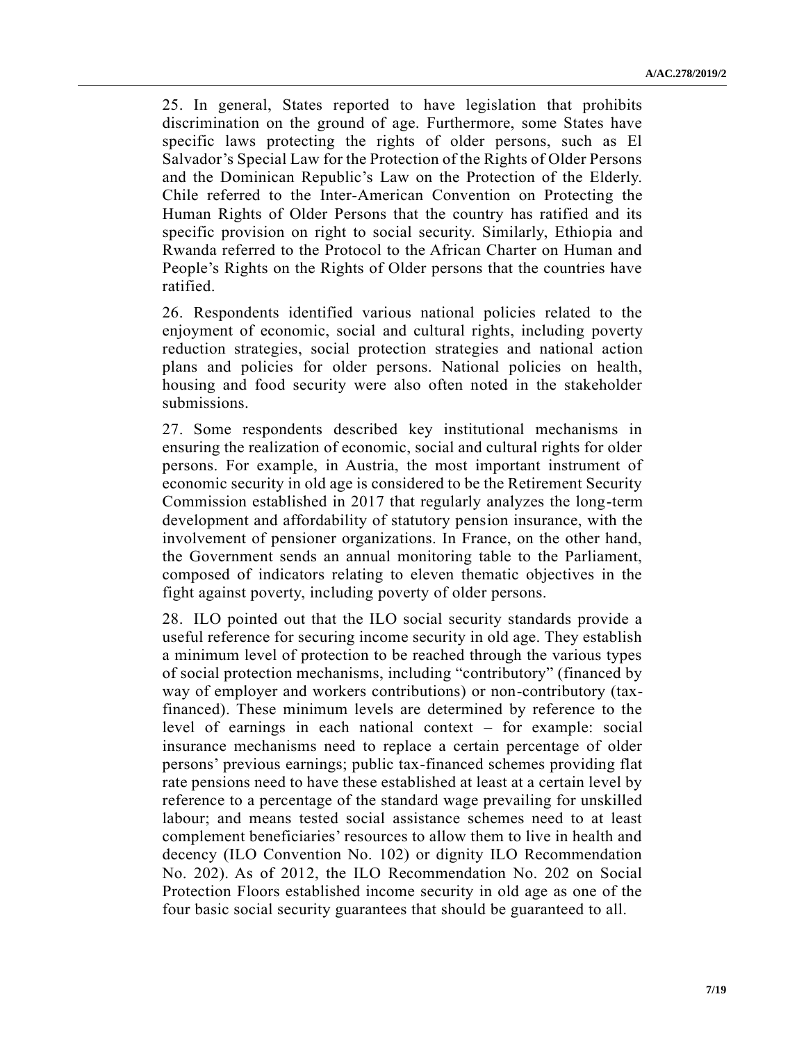25. In general, States reported to have legislation that prohibits discrimination on the ground of age. Furthermore, some States have specific laws protecting the rights of older persons, such as El Salvador's Special Law for the Protection of the Rights of Older Persons and the Dominican Republic's Law on the Protection of the Elderly. Chile referred to the Inter-American Convention on Protecting the Human Rights of Older Persons that the country has ratified and its specific provision on right to social security. Similarly, Ethiopia and Rwanda referred to the Protocol to the African Charter on Human and People's Rights on the Rights of Older persons that the countries have ratified.

26. Respondents identified various national policies related to the enjoyment of economic, social and cultural rights, including poverty reduction strategies, social protection strategies and national action plans and policies for older persons. National policies on health, housing and food security were also often noted in the stakeholder submissions.

27. Some respondents described key institutional mechanisms in ensuring the realization of economic, social and cultural rights for older persons. For example, in Austria, the most important instrument of economic security in old age is considered to be the Retirement Security Commission established in 2017 that regularly analyzes the long-term development and affordability of statutory pension insurance, with the involvement of pensioner organizations. In France, on the other hand, the Government sends an annual monitoring table to the Parliament, composed of indicators relating to eleven thematic objectives in the fight against poverty, including poverty of older persons.

28. ILO pointed out that the ILO social security standards provide a useful reference for securing income security in old age. They establish a minimum level of protection to be reached through the various types of social protection mechanisms, including "contributory" (financed by way of employer and workers contributions) or non-contributory (taxfinanced). These minimum levels are determined by reference to the level of earnings in each national context – for example: social insurance mechanisms need to replace a certain percentage of older persons' previous earnings; public tax-financed schemes providing flat rate pensions need to have these established at least at a certain level by reference to a percentage of the standard wage prevailing for unskilled labour; and means tested social assistance schemes need to at least complement beneficiaries' resources to allow them to live in health and decency (ILO Convention No. 102) or dignity ILO Recommendation No. 202). As of 2012, the ILO Recommendation No. 202 on Social Protection Floors established income security in old age as one of the four basic social security guarantees that should be guaranteed to all.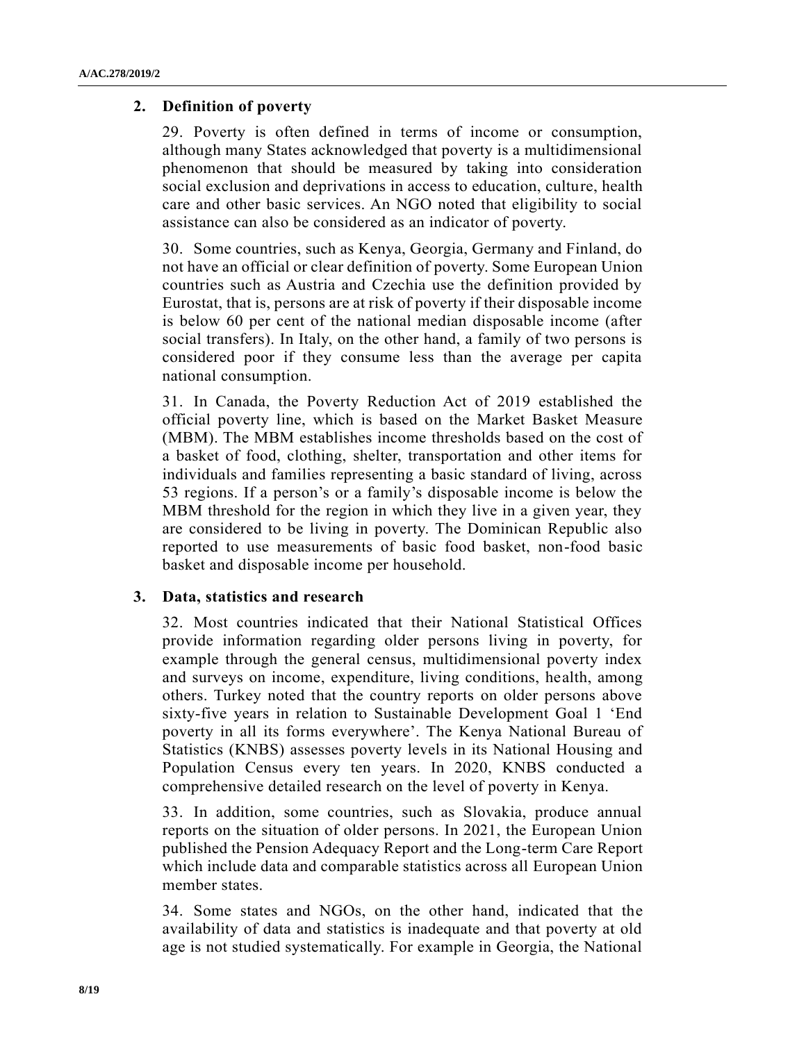## **2. Definition of poverty**

29. Poverty is often defined in terms of income or consumption, although many States acknowledged that poverty is a multidimensional phenomenon that should be measured by taking into consideration social exclusion and deprivations in access to education, culture, health care and other basic services. An NGO noted that eligibility to social assistance can also be considered as an indicator of poverty.

30. Some countries, such as Kenya, Georgia, Germany and Finland, do not have an official or clear definition of poverty. Some European Union countries such as Austria and Czechia use the definition provided by Eurostat, that is, persons are at risk of poverty if their disposable income is below 60 per cent of the national median disposable income (after social transfers). In Italy, on the other hand, a family of two persons is considered poor if they consume less than the average per capita national consumption.

31. In Canada, the Poverty Reduction Act of 2019 established the official poverty line, which is based on the Market Basket Measure (MBM). The MBM establishes income thresholds based on the cost of a basket of food, clothing, shelter, transportation and other items for individuals and families representing a basic standard of living, across 53 regions. If a person's or a family's disposable income is below the MBM threshold for the region in which they live in a given year, they are considered to be living in poverty. The Dominican Republic also reported to use measurements of basic food basket, non-food basic basket and disposable income per household.

## **3. Data, statistics and research**

32. Most countries indicated that their National Statistical Offices provide information regarding older persons living in poverty, for example through the general census, multidimensional poverty index and surveys on income, expenditure, living conditions, health, among others. Turkey noted that the country reports on older persons above sixty-five years in relation to Sustainable Development Goal 1 'End poverty in all its forms everywhere'. The Kenya National Bureau of Statistics (KNBS) assesses poverty levels in its National Housing and Population Census every ten years. In 2020, KNBS conducted a comprehensive detailed research on the level of poverty in Kenya.

33. In addition, some countries, such as Slovakia, produce annual reports on the situation of older persons. In 2021, the European Union published the Pension Adequacy Report and the Long-term Care Report which include data and comparable statistics across all European Union member states.

34. Some states and NGOs, on the other hand, indicated that the availability of data and statistics is inadequate and that poverty at old age is not studied systematically. For example in Georgia, the National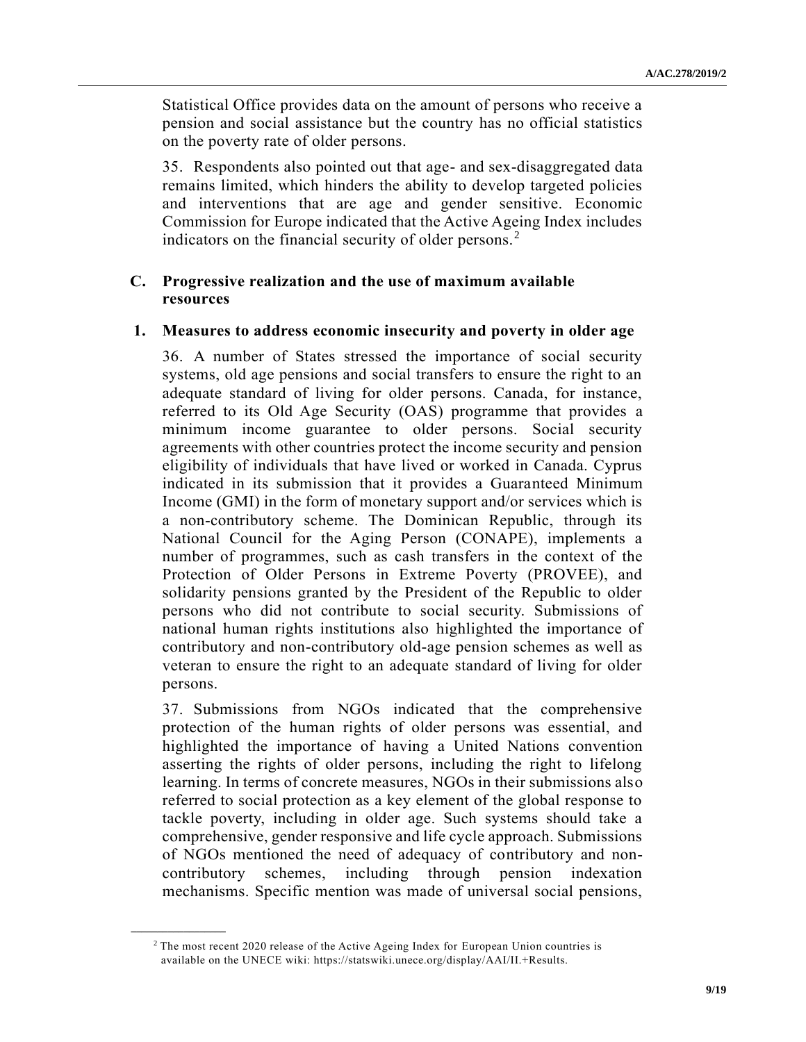Statistical Office provides data on the amount of persons who receive a pension and social assistance but the country has no official statistics on the poverty rate of older persons.

35. Respondents also pointed out that age- and sex-disaggregated data remains limited, which hinders the ability to develop targeted policies and interventions that are age and gender sensitive. Economic Commission for Europe indicated that the Active Ageing Index includes indicators on the financial security of older persons. $<sup>2</sup>$ </sup>

## **C. Progressive realization and the use of maximum available resources**

## **1. Measures to address economic insecurity and poverty in older age**

36. A number of States stressed the importance of social security systems, old age pensions and social transfers to ensure the right to an adequate standard of living for older persons. Canada, for instance, referred to its Old Age Security (OAS) programme that provides a minimum income guarantee to older persons. Social security agreements with other countries protect the income security and pension eligibility of individuals that have lived or worked in Canada. Cyprus indicated in its submission that it provides a Guaranteed Minimum Income (GMI) in the form of monetary support and/or services which is a non-contributory scheme. The Dominican Republic, through its National Council for the Aging Person (CONAPE), implements a number of programmes, such as cash transfers in the context of the Protection of Older Persons in Extreme Poverty (PROVEE), and solidarity pensions granted by the President of the Republic to older persons who did not contribute to social security. Submissions of national human rights institutions also highlighted the importance of contributory and non-contributory old-age pension schemes as well as veteran to ensure the right to an adequate standard of living for older persons.

37. Submissions from NGOs indicated that the comprehensive protection of the human rights of older persons was essential, and highlighted the importance of having a United Nations convention asserting the rights of older persons, including the right to lifelong learning. In terms of concrete measures, NGOs in their submissions also referred to social protection as a key element of the global response to tackle poverty, including in older age. Such systems should take a comprehensive, gender responsive and life cycle approach. Submissions of NGOs mentioned the need of adequacy of contributory and noncontributory schemes, including through pension indexation mechanisms. Specific mention was made of universal social pensions,

<sup>&</sup>lt;sup>2</sup> The most recent 2020 release of the Active Ageing Index for European Union countries is available on the UNECE wiki: https://statswiki.unece.org/display/AAI/II.+Results.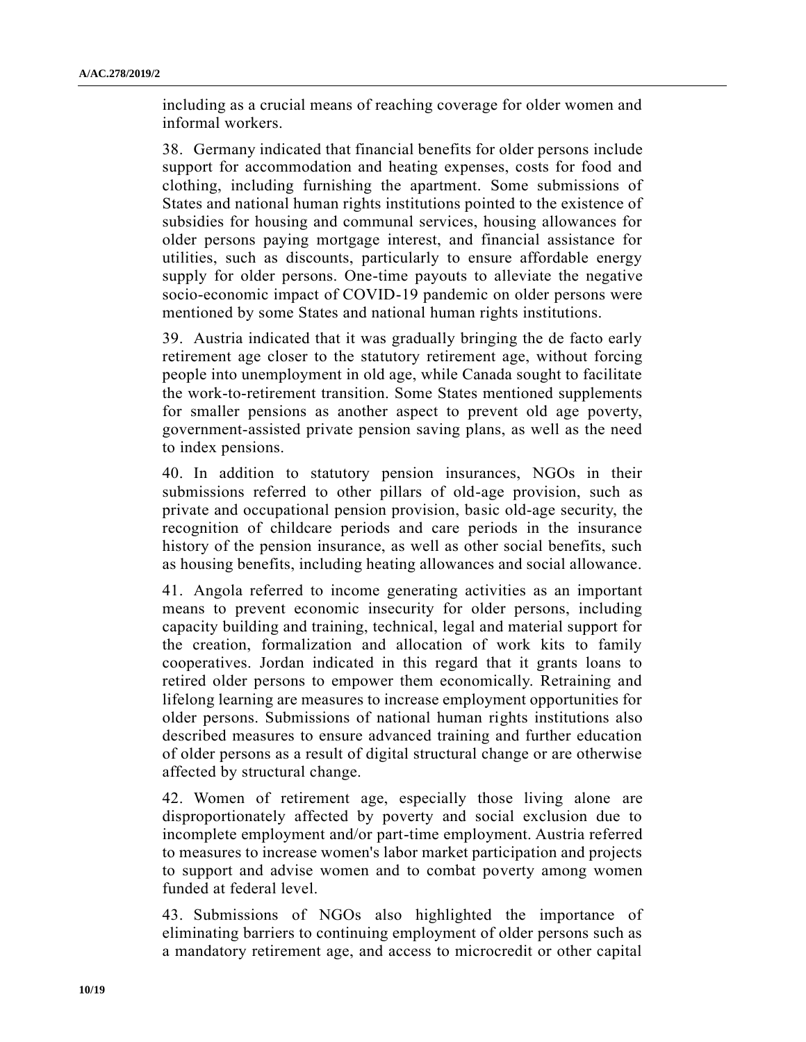including as a crucial means of reaching coverage for older women and informal workers.

38. Germany indicated that financial benefits for older persons include support for accommodation and heating expenses, costs for food and clothing, including furnishing the apartment. Some submissions of States and national human rights institutions pointed to the existence of subsidies for housing and communal services, housing allowances for older persons paying mortgage interest, and financial assistance for utilities, such as discounts, particularly to ensure affordable energy supply for older persons. One-time payouts to alleviate the negative socio-economic impact of COVID-19 pandemic on older persons were mentioned by some States and national human rights institutions.

39. Austria indicated that it was gradually bringing the de facto early retirement age closer to the statutory retirement age, without forcing people into unemployment in old age, while Canada sought to facilitate the work-to-retirement transition. Some States mentioned supplements for smaller pensions as another aspect to prevent old age poverty, government-assisted private pension saving plans, as well as the need to index pensions.

40. In addition to statutory pension insurances, NGOs in their submissions referred to other pillars of old-age provision, such as private and occupational pension provision, basic old-age security, the recognition of childcare periods and care periods in the insurance history of the pension insurance, as well as other social benefits, such as housing benefits, including heating allowances and social allowance.

41. Angola referred to income generating activities as an important means to prevent economic insecurity for older persons, including capacity building and training, technical, legal and material support for the creation, formalization and allocation of work kits to family cooperatives. Jordan indicated in this regard that it grants loans to retired older persons to empower them economically. Retraining and lifelong learning are measures to increase employment opportunities for older persons. Submissions of national human rights institutions also described measures to ensure advanced training and further education of older persons as a result of digital structural change or are otherwise affected by structural change.

42. Women of retirement age, especially those living alone are disproportionately affected by poverty and social exclusion due to incomplete employment and/or part-time employment. Austria referred to measures to increase women's labor market participation and projects to support and advise women and to combat poverty among women funded at federal level.

43. Submissions of NGOs also highlighted the importance of eliminating barriers to continuing employment of older persons such as a mandatory retirement age, and access to microcredit or other capital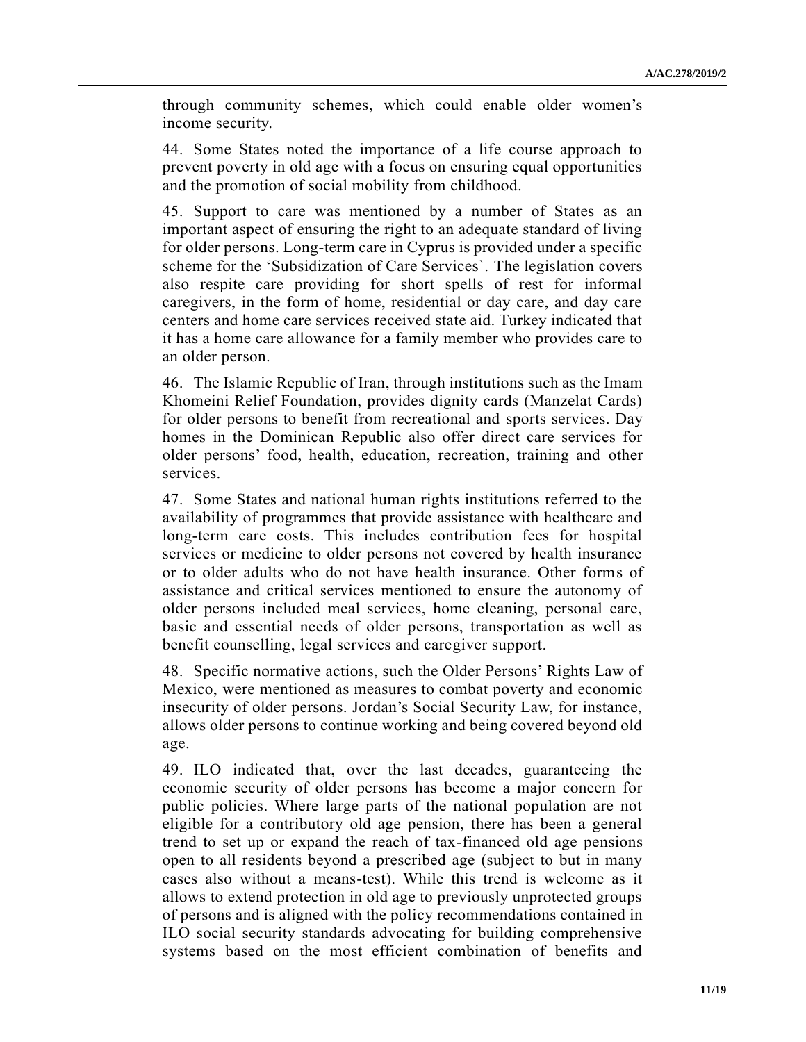through community schemes, which could enable older women's income security.

44. Some States noted the importance of a life course approach to prevent poverty in old age with a focus on ensuring equal opportunities and the promotion of social mobility from childhood.

45. Support to care was mentioned by a number of States as an important aspect of ensuring the right to an adequate standard of living for older persons. Long-term care in Cyprus is provided under a specific scheme for the 'Subsidization of Care Services`. The legislation covers also respite care providing for short spells of rest for informal caregivers, in the form of home, residential or day care, and day care centers and home care services received state aid. Turkey indicated that it has a home care allowance for a family member who provides care to an older person.

46. The Islamic Republic of Iran, through institutions such as the Imam Khomeini Relief Foundation, provides dignity cards (Manzelat Cards) for older persons to benefit from recreational and sports services. Day homes in the Dominican Republic also offer direct care services for older persons' food, health, education, recreation, training and other services.

47. Some States and national human rights institutions referred to the availability of programmes that provide assistance with healthcare and long-term care costs. This includes contribution fees for hospital services or medicine to older persons not covered by health insurance or to older adults who do not have health insurance. Other forms of assistance and critical services mentioned to ensure the autonomy of older persons included meal services, home cleaning, personal care, basic and essential needs of older persons, transportation as well as benefit counselling, legal services and caregiver support.

48. Specific normative actions, such the Older Persons' Rights Law of Mexico, were mentioned as measures to combat poverty and economic insecurity of older persons. Jordan's Social Security Law, for instance, allows older persons to continue working and being covered beyond old age.

49. ILO indicated that, over the last decades, guaranteeing the economic security of older persons has become a major concern for public policies. Where large parts of the national population are not eligible for a contributory old age pension, there has been a general trend to set up or expand the reach of tax-financed old age pensions open to all residents beyond a prescribed age (subject to but in many cases also without a means-test). While this trend is welcome as it allows to extend protection in old age to previously unprotected groups of persons and is aligned with the policy recommendations contained in ILO social security standards advocating for building comprehensive systems based on the most efficient combination of benefits and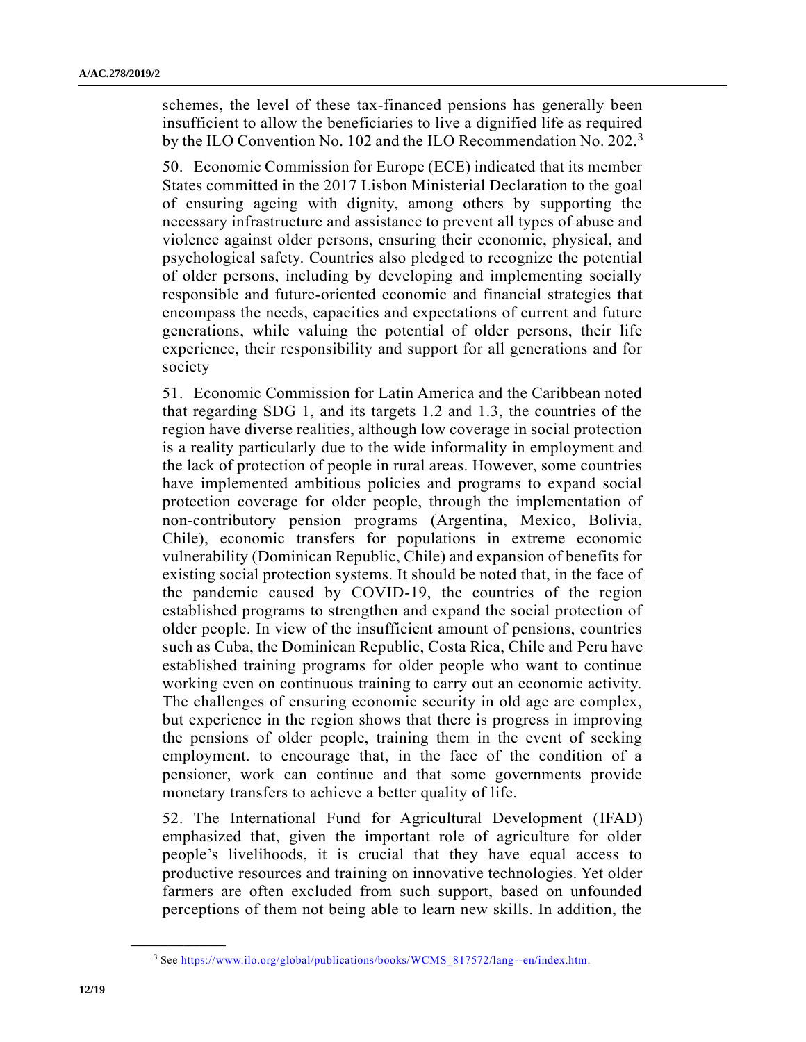schemes, the level of these tax-financed pensions has generally been insufficient to allow the beneficiaries to live a dignified life as required by the ILO Convention No. 102 and the ILO Recommendation No. 202.<sup>3</sup>

50. Economic Commission for Europe (ECE) indicated that its member States committed in the 2017 Lisbon Ministerial Declaration to the goal of ensuring ageing with dignity, among others by supporting the necessary infrastructure and assistance to prevent all types of abuse and violence against older persons, ensuring their economic, physical, and psychological safety. Countries also pledged to recognize the potential of older persons, including by developing and implementing socially responsible and future-oriented economic and financial strategies that encompass the needs, capacities and expectations of current and future generations, while valuing the potential of older persons, their life experience, their responsibility and support for all generations and for society

51. Economic Commission for Latin America and the Caribbean noted that regarding SDG 1, and its targets 1.2 and 1.3, the countries of the region have diverse realities, although low coverage in social protection is a reality particularly due to the wide informality in employment and the lack of protection of people in rural areas. However, some countries have implemented ambitious policies and programs to expand social protection coverage for older people, through the implementation of non-contributory pension programs (Argentina, Mexico, Bolivia, Chile), economic transfers for populations in extreme economic vulnerability (Dominican Republic, Chile) and expansion of benefits for existing social protection systems. It should be noted that, in the face of the pandemic caused by COVID-19, the countries of the region established programs to strengthen and expand the social protection of older people. In view of the insufficient amount of pensions, countries such as Cuba, the Dominican Republic, Costa Rica, Chile and Peru have established training programs for older people who want to continue working even on continuous training to carry out an economic activity. The challenges of ensuring economic security in old age are complex, but experience in the region shows that there is progress in improving the pensions of older people, training them in the event of seeking employment. to encourage that, in the face of the condition of a pensioner, work can continue and that some governments provide monetary transfers to achieve a better quality of life.

52. The International Fund for Agricultural Development (IFAD) emphasized that, given the important role of agriculture for older people's livelihoods, it is crucial that they have equal access to productive resources and training on innovative technologies. Yet older farmers are often excluded from such support, based on unfounded perceptions of them not being able to learn new skills. In addition, the

<sup>3</sup> See [https://www.ilo.org/global/publications/books/WCMS\\_817572/lang--en/index.htm.](https://www.ilo.org/global/publications/books/WCMS_817572/lang--en/index.htm)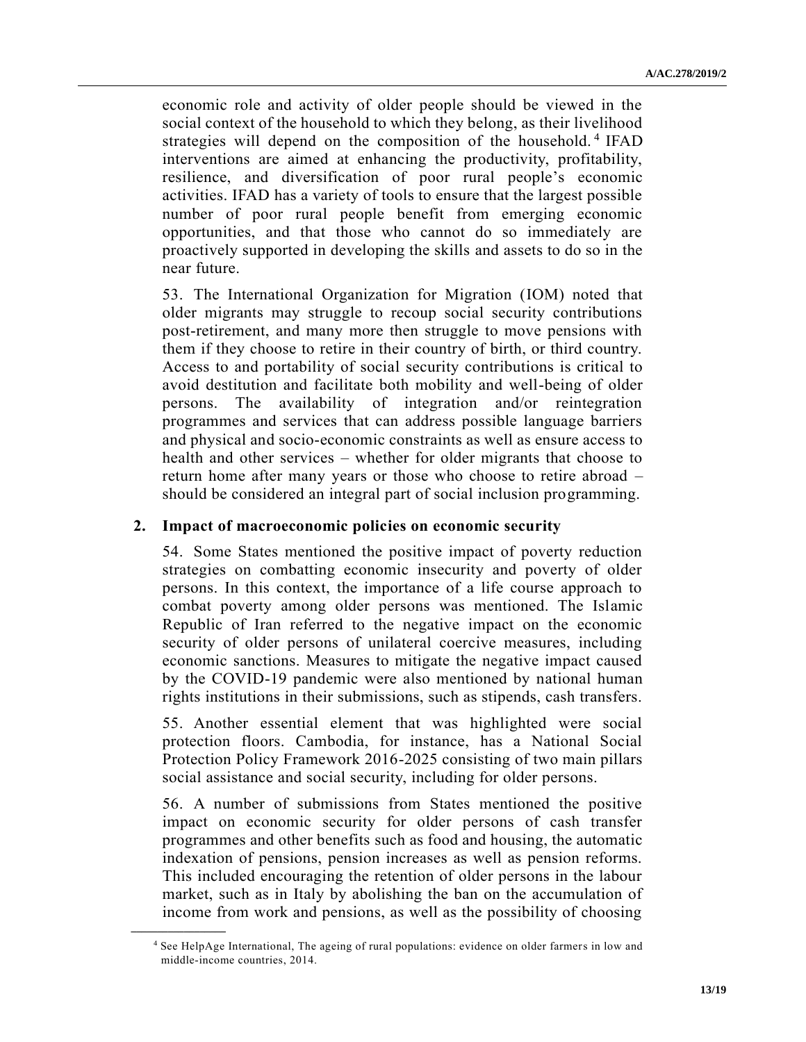economic role and activity of older people should be viewed in the social context of the household to which they belong, as their livelihood strategies will depend on the composition of the household.<sup>4</sup> IFAD interventions are aimed at enhancing the productivity, profitability, resilience, and diversification of poor rural people's economic activities. IFAD has a variety of tools to ensure that the largest possible number of poor rural people benefit from emerging economic opportunities, and that those who cannot do so immediately are proactively supported in developing the skills and assets to do so in the near future.

53. The International Organization for Migration (IOM) noted that older migrants may struggle to recoup social security contributions post-retirement, and many more then struggle to move pensions with them if they choose to retire in their country of birth, or third country. Access to and portability of social security contributions is critical to avoid destitution and facilitate both mobility and well-being of older persons. The availability of integration and/or reintegration programmes and services that can address possible language barriers and physical and socio-economic constraints as well as ensure access to health and other services – whether for older migrants that choose to return home after many years or those who choose to retire abroad – should be considered an integral part of social inclusion programming.

#### **2. Impact of macroeconomic policies on economic security**

54. Some States mentioned the positive impact of poverty reduction strategies on combatting economic insecurity and poverty of older persons. In this context, the importance of a life course approach to combat poverty among older persons was mentioned. The Islamic Republic of Iran referred to the negative impact on the economic security of older persons of unilateral coercive measures, including economic sanctions. Measures to mitigate the negative impact caused by the COVID-19 pandemic were also mentioned by national human rights institutions in their submissions, such as stipends, cash transfers.

55. Another essential element that was highlighted were social protection floors. Cambodia, for instance, has a National Social Protection Policy Framework 2016-2025 consisting of two main pillars social assistance and social security, including for older persons.

56. A number of submissions from States mentioned the positive impact on economic security for older persons of cash transfer programmes and other benefits such as food and housing, the automatic indexation of pensions, pension increases as well as pension reforms. This included encouraging the retention of older persons in the labour market, such as in Italy by abolishing the ban on the accumulation of income from work and pensions, as well as the possibility of choosing

<sup>4</sup> See HelpAge International, The ageing of rural populations: evidence on older farmers in low and middle-income countries, 2014.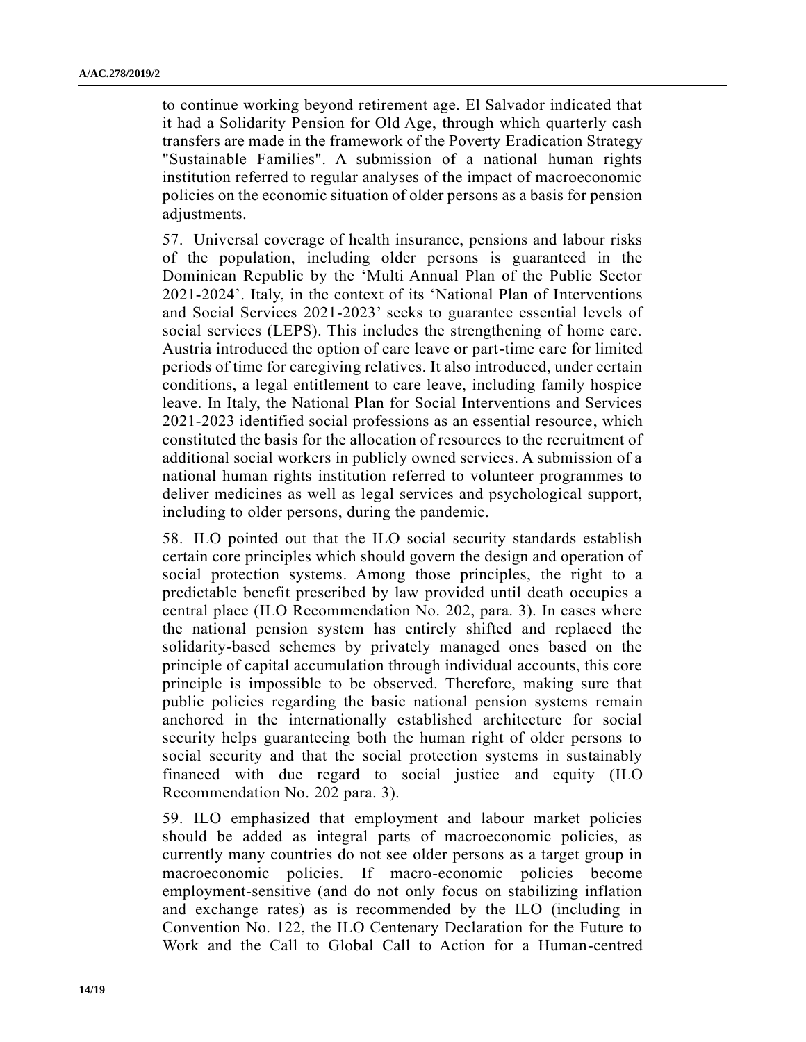to continue working beyond retirement age. El Salvador indicated that it had a Solidarity Pension for Old Age, through which quarterly cash transfers are made in the framework of the Poverty Eradication Strategy "Sustainable Families". A submission of a national human rights institution referred to regular analyses of the impact of macroeconomic policies on the economic situation of older persons as a basis for pension adjustments.

57. Universal coverage of health insurance, pensions and labour risks of the population, including older persons is guaranteed in the Dominican Republic by the 'Multi Annual Plan of the Public Sector 2021-2024'. Italy, in the context of its 'National Plan of Interventions and Social Services 2021-2023' seeks to guarantee essential levels of social services (LEPS). This includes the strengthening of home care. Austria introduced the option of care leave or part-time care for limited periods of time for caregiving relatives. It also introduced, under certain conditions, a legal entitlement to care leave, including family hospice leave. In Italy, the National Plan for Social Interventions and Services 2021-2023 identified social professions as an essential resource, which constituted the basis for the allocation of resources to the recruitment of additional social workers in publicly owned services. A submission of a national human rights institution referred to volunteer programmes to deliver medicines as well as legal services and psychological support, including to older persons, during the pandemic.

58. ILO pointed out that the ILO social security standards establish certain core principles which should govern the design and operation of social protection systems. Among those principles, the right to a predictable benefit prescribed by law provided until death occupies a central place (ILO Recommendation No. 202, para. 3). In cases where the national pension system has entirely shifted and replaced the solidarity-based schemes by privately managed ones based on the principle of capital accumulation through individual accounts, this core principle is impossible to be observed. Therefore, making sure that public policies regarding the basic national pension systems remain anchored in the internationally established architecture for social security helps guaranteeing both the human right of older persons to social security and that the social protection systems in sustainably financed with due regard to social justice and equity (ILO Recommendation No. 202 para. 3).

59. ILO emphasized that employment and labour market policies should be added as integral parts of macroeconomic policies, as currently many countries do not see older persons as a target group in macroeconomic policies. If macro-economic policies become employment-sensitive (and do not only focus on stabilizing inflation and exchange rates) as is recommended by the ILO (including in Convention No. 122, the ILO Centenary Declaration for the Future to Work and the Call to Global Call to Action for a Human-centred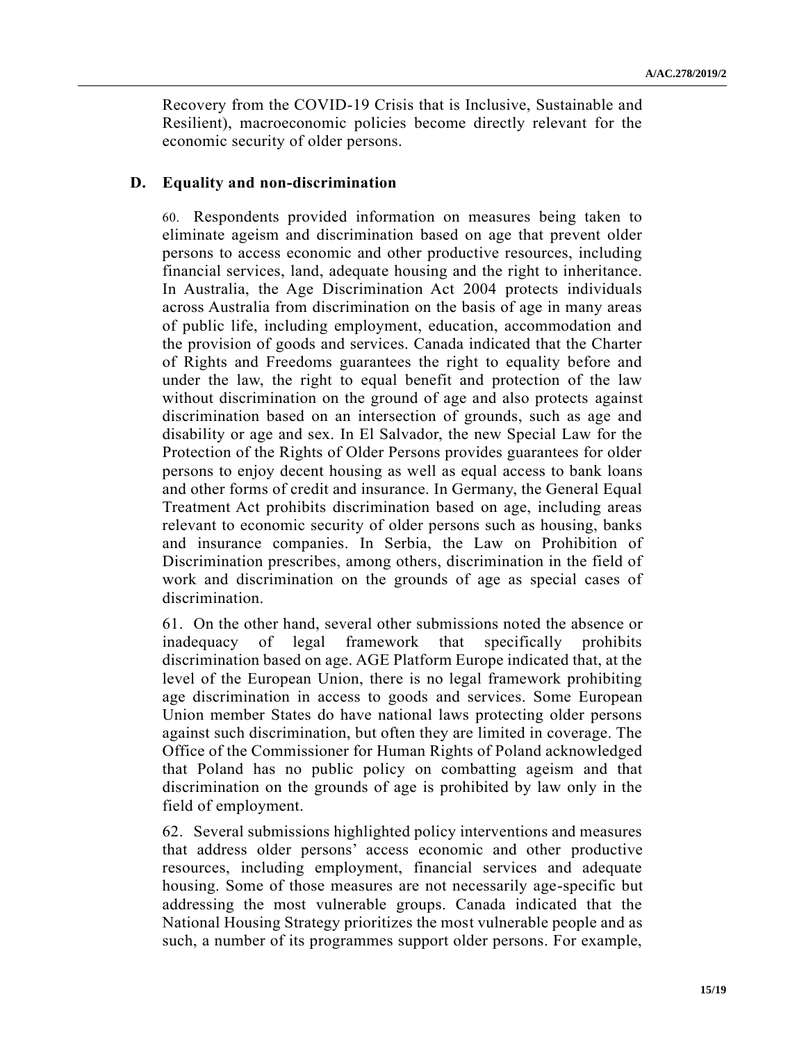Recovery from the COVID-19 Crisis that is Inclusive, Sustainable and Resilient), macroeconomic policies become directly relevant for the economic security of older persons.

#### **D. Equality and non-discrimination**

60. Respondents provided information on measures being taken to eliminate ageism and discrimination based on age that prevent older persons to access economic and other productive resources, including financial services, land, adequate housing and the right to inheritance. In Australia, the Age Discrimination Act 2004 protects individuals across Australia from discrimination on the basis of age in many areas of public life, including employment, education, accommodation and the provision of goods and services. Canada indicated that the Charter of Rights and Freedoms guarantees the right to equality before and under the law, the right to equal benefit and protection of the law without discrimination on the ground of age and also protects against discrimination based on an intersection of grounds, such as age and disability or age and sex. In El Salvador, the new Special Law for the Protection of the Rights of Older Persons provides guarantees for older persons to enjoy decent housing as well as equal access to bank loans and other forms of credit and insurance. In Germany, the General Equal Treatment Act prohibits discrimination based on age, including areas relevant to economic security of older persons such as housing, banks and insurance companies. In Serbia, the Law on Prohibition of Discrimination prescribes, among others, discrimination in the field of work and discrimination on the grounds of age as special cases of discrimination.

61. On the other hand, several other submissions noted the absence or inadequacy of legal framework that specifically prohibits discrimination based on age. AGE Platform Europe indicated that, at the level of the European Union, there is no legal framework prohibiting age discrimination in access to goods and services. Some European Union member States do have national laws protecting older persons against such discrimination, but often they are limited in coverage. The Office of the Commissioner for Human Rights of Poland acknowledged that Poland has no public policy on combatting ageism and that discrimination on the grounds of age is prohibited by law only in the field of employment.

62. Several submissions highlighted policy interventions and measures that address older persons' access economic and other productive resources, including employment, financial services and adequate housing. Some of those measures are not necessarily age-specific but addressing the most vulnerable groups. Canada indicated that the National Housing Strategy prioritizes the most vulnerable people and as such, a number of its programmes support older persons. For example,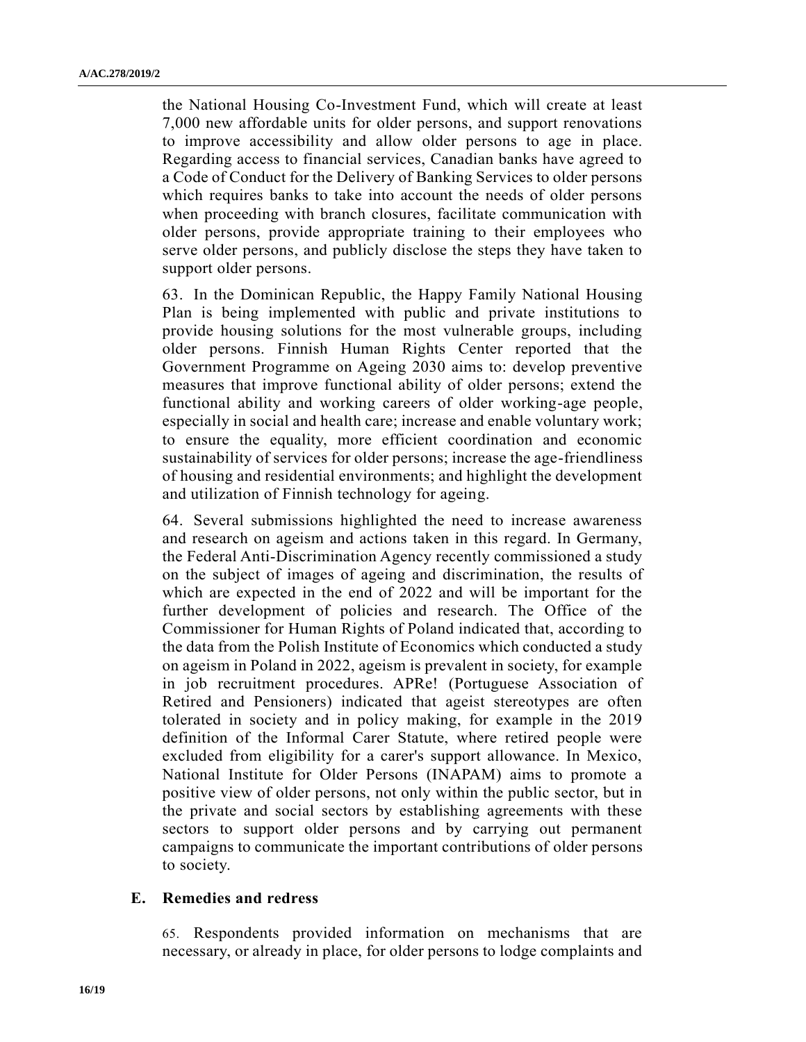the National Housing Co-Investment Fund, which will create at least 7,000 new affordable units for older persons, and support renovations to improve accessibility and allow older persons to age in place. Regarding access to financial services, Canadian banks have agreed to a Code of Conduct for the Delivery of Banking Services to older persons which requires banks to take into account the needs of older persons when proceeding with branch closures, facilitate communication with older persons, provide appropriate training to their employees who serve older persons, and publicly disclose the steps they have taken to support older persons.

63. In the Dominican Republic, the Happy Family National Housing Plan is being implemented with public and private institutions to provide housing solutions for the most vulnerable groups, including older persons. Finnish Human Rights Center reported that the Government Programme on Ageing 2030 aims to: develop preventive measures that improve functional ability of older persons; extend the functional ability and working careers of older working-age people, especially in social and health care; increase and enable voluntary work; to ensure the equality, more efficient coordination and economic sustainability of services for older persons; increase the age-friendliness of housing and residential environments; and highlight the development and utilization of Finnish technology for ageing.

64. Several submissions highlighted the need to increase awareness and research on ageism and actions taken in this regard. In Germany, the Federal Anti-Discrimination Agency recently commissioned a study on the subject of images of ageing and discrimination, the results of which are expected in the end of 2022 and will be important for the further development of policies and research. The Office of the Commissioner for Human Rights of Poland indicated that, according to the data from the Polish Institute of Economics which conducted a study on ageism in Poland in 2022, ageism is prevalent in society, for example in job recruitment procedures. APRe! (Portuguese Association of Retired and Pensioners) indicated that ageist stereotypes are often tolerated in society and in policy making, for example in the 2019 definition of the Informal Carer Statute, where retired people were excluded from eligibility for a carer's support allowance. In Mexico, National Institute for Older Persons (INAPAM) aims to promote a positive view of older persons, not only within the public sector, but in the private and social sectors by establishing agreements with these sectors to support older persons and by carrying out permanent campaigns to communicate the important contributions of older persons to society.

#### **E. Remedies and redress**

65. Respondents provided information on mechanisms that are necessary, or already in place, for older persons to lodge complaints and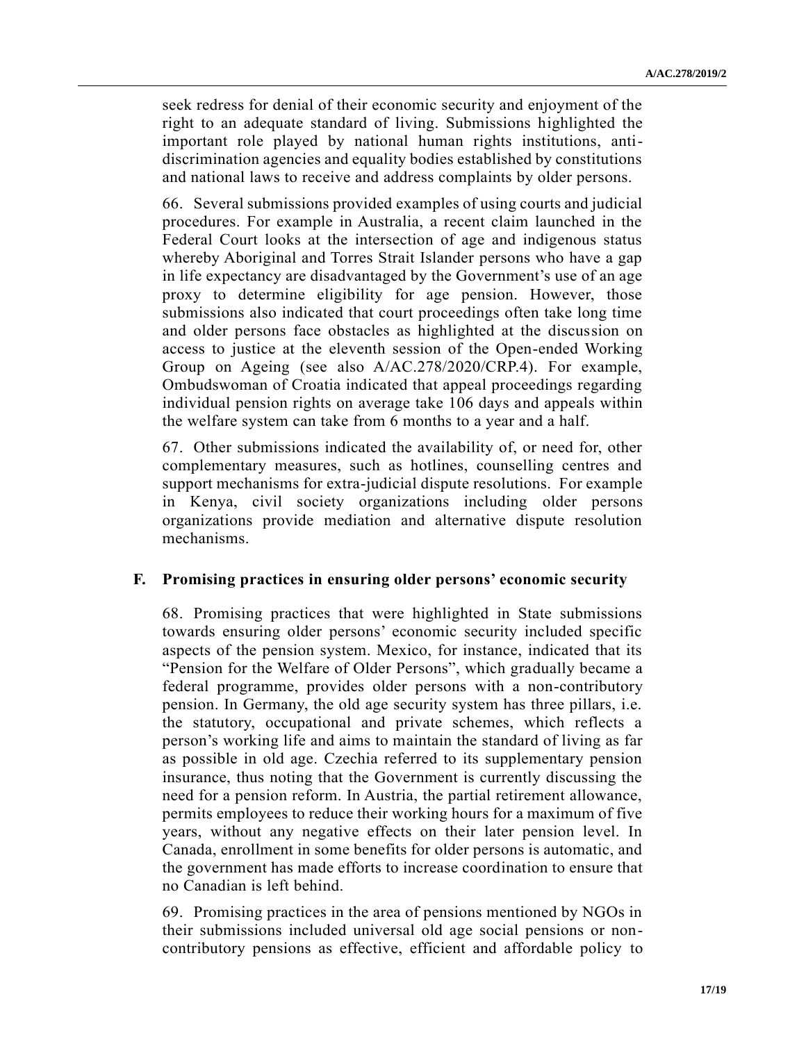seek redress for denial of their economic security and enjoyment of the right to an adequate standard of living. Submissions highlighted the important role played by national human rights institutions, antidiscrimination agencies and equality bodies established by constitutions and national laws to receive and address complaints by older persons.

66. Several submissions provided examples of using courts and judicial procedures. For example in Australia, a recent claim launched in the Federal Court looks at the intersection of age and indigenous status whereby Aboriginal and Torres Strait Islander persons who have a gap in life expectancy are disadvantaged by the Government's use of an age proxy to determine eligibility for age pension. However, those submissions also indicated that court proceedings often take long time and older persons face obstacles as highlighted at the discussion on access to justice at the eleventh session of the Open-ended Working Group on Ageing (see also A/AC.278/2020/CRP.4). For example, Ombudswoman of Croatia indicated that appeal proceedings regarding individual pension rights on average take 106 days and appeals within the welfare system can take from 6 months to a year and a half.

67. Other submissions indicated the availability of, or need for, other complementary measures, such as hotlines, counselling centres and support mechanisms for extra-judicial dispute resolutions. For example in Kenya, civil society organizations including older persons organizations provide mediation and alternative dispute resolution mechanisms.

## **F. Promising practices in ensuring older persons' economic security**

68. Promising practices that were highlighted in State submissions towards ensuring older persons' economic security included specific aspects of the pension system. Mexico, for instance, indicated that its "Pension for the Welfare of Older Persons", which gradually became a federal programme, provides older persons with a non-contributory pension. In Germany, the old age security system has three pillars, i.e. the statutory, occupational and private schemes, which reflects a person's working life and aims to maintain the standard of living as far as possible in old age. Czechia referred to its supplementary pension insurance, thus noting that the Government is currently discussing the need for a pension reform. In Austria, the partial retirement allowance, permits employees to reduce their working hours for a maximum of five years, without any negative effects on their later pension level. In Canada, enrollment in some benefits for older persons is automatic, and the government has made efforts to increase coordination to ensure that no Canadian is left behind.

69. Promising practices in the area of pensions mentioned by NGOs in their submissions included universal old age social pensions or noncontributory pensions as effective, efficient and affordable policy to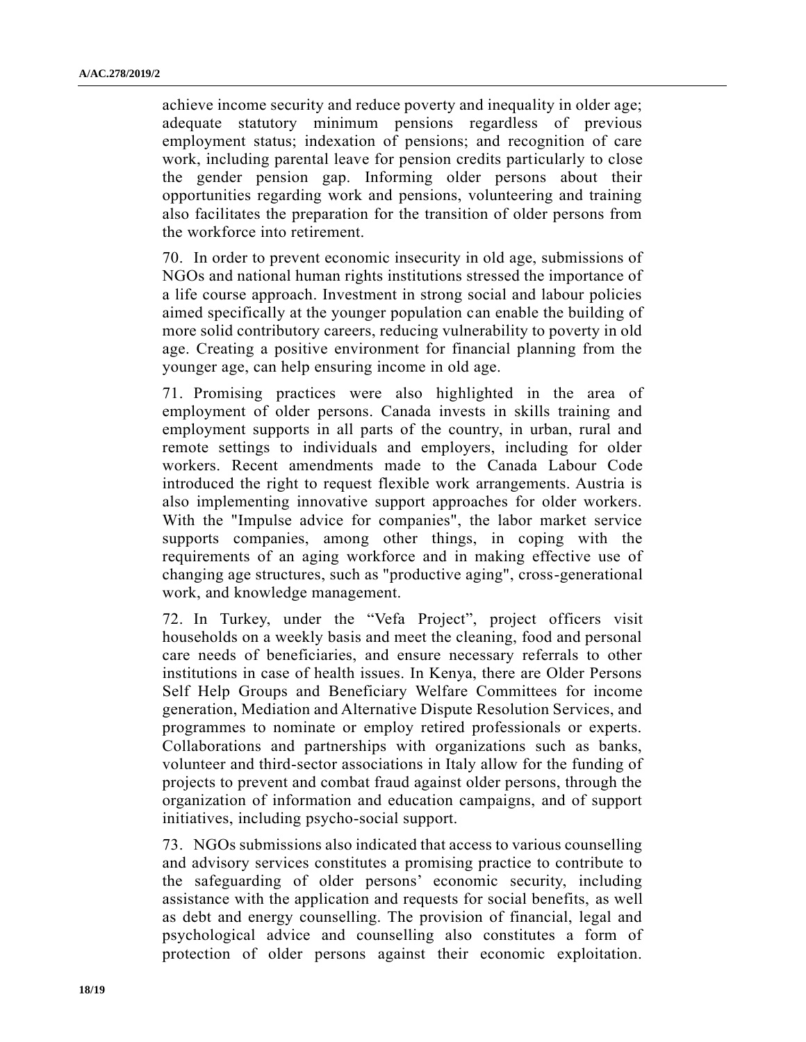achieve income security and reduce poverty and inequality in older age; adequate statutory minimum pensions regardless of previous employment status; indexation of pensions; and recognition of care work, including parental leave for pension credits particularly to close the gender pension gap. Informing older persons about their opportunities regarding work and pensions, volunteering and training also facilitates the preparation for the transition of older persons from the workforce into retirement.

70. In order to prevent economic insecurity in old age, submissions of NGOs and national human rights institutions stressed the importance of a life course approach. Investment in strong social and labour policies aimed specifically at the younger population can enable the building of more solid contributory careers, reducing vulnerability to poverty in old age. Creating a positive environment for financial planning from the younger age, can help ensuring income in old age.

71. Promising practices were also highlighted in the area of employment of older persons. Canada invests in skills training and employment supports in all parts of the country, in urban, rural and remote settings to individuals and employers, including for older workers. Recent amendments made to the Canada Labour Code introduced the right to request flexible work arrangements. Austria is also implementing innovative support approaches for older workers. With the "Impulse advice for companies", the labor market service supports companies, among other things, in coping with the requirements of an aging workforce and in making effective use of changing age structures, such as "productive aging", cross-generational work, and knowledge management.

72. In Turkey, under the "Vefa Project", project officers visit households on a weekly basis and meet the cleaning, food and personal care needs of beneficiaries, and ensure necessary referrals to other institutions in case of health issues. In Kenya, there are Older Persons Self Help Groups and Beneficiary Welfare Committees for income generation, Mediation and Alternative Dispute Resolution Services, and programmes to nominate or employ retired professionals or experts. Collaborations and partnerships with organizations such as banks, volunteer and third-sector associations in Italy allow for the funding of projects to prevent and combat fraud against older persons, through the organization of information and education campaigns, and of support initiatives, including psycho-social support.

73. NGOs submissions also indicated that access to various counselling and advisory services constitutes a promising practice to contribute to the safeguarding of older persons' economic security, including assistance with the application and requests for social benefits, as well as debt and energy counselling. The provision of financial, legal and psychological advice and counselling also constitutes a form of protection of older persons against their economic exploitation.